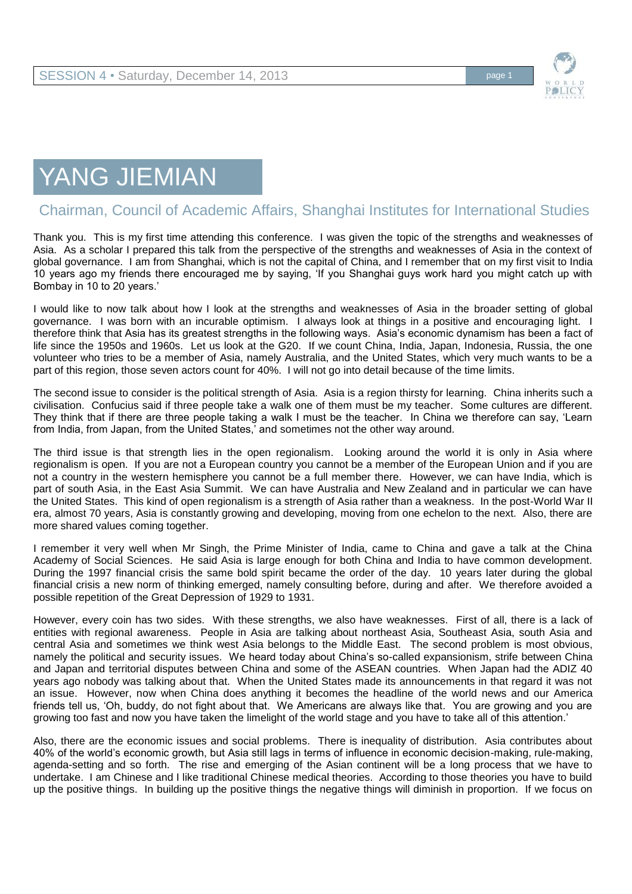

## YANG JIEMIAN

## Chairman, Council of Academic Affairs, Shanghai Institutes for International Studies

Thank you. This is my first time attending this conference. I was given the topic of the strengths and weaknesses of Asia. As a scholar I prepared this talk from the perspective of the strengths and weaknesses of Asia in the context of global governance. I am from Shanghai, which is not the capital of China, and I remember that on my first visit to India 10 years ago my friends there encouraged me by saying, 'If you Shanghai guys work hard you might catch up with Bombay in 10 to 20 years.'

I would like to now talk about how I look at the strengths and weaknesses of Asia in the broader setting of global governance. I was born with an incurable optimism. I always look at things in a positive and encouraging light. I therefore think that Asia has its greatest strengths in the following ways. Asia's economic dynamism has been a fact of life since the 1950s and 1960s. Let us look at the G20. If we count China, India, Japan, Indonesia, Russia, the one volunteer who tries to be a member of Asia, namely Australia, and the United States, which very much wants to be a part of this region, those seven actors count for 40%. I will not go into detail because of the time limits.

The second issue to consider is the political strength of Asia. Asia is a region thirsty for learning. China inherits such a civilisation. Confucius said if three people take a walk one of them must be my teacher. Some cultures are different. They think that if there are three people taking a walk I must be the teacher. In China we therefore can say, 'Learn from India, from Japan, from the United States,' and sometimes not the other way around.

The third issue is that strength lies in the open regionalism. Looking around the world it is only in Asia where regionalism is open. If you are not a European country you cannot be a member of the European Union and if you are not a country in the western hemisphere you cannot be a full member there. However, we can have India, which is part of south Asia, in the East Asia Summit. We can have Australia and New Zealand and in particular we can have the United States. This kind of open regionalism is a strength of Asia rather than a weakness. In the post-World War II era, almost 70 years, Asia is constantly growing and developing, moving from one echelon to the next. Also, there are more shared values coming together.

I remember it very well when Mr Singh, the Prime Minister of India, came to China and gave a talk at the China Academy of Social Sciences. He said Asia is large enough for both China and India to have common development. During the 1997 financial crisis the same bold spirit became the order of the day. 10 years later during the global financial crisis a new norm of thinking emerged, namely consulting before, during and after. We therefore avoided a possible repetition of the Great Depression of 1929 to 1931.

However, every coin has two sides. With these strengths, we also have weaknesses. First of all, there is a lack of entities with regional awareness. People in Asia are talking about northeast Asia, Southeast Asia, south Asia and central Asia and sometimes we think west Asia belongs to the Middle East. The second problem is most obvious, namely the political and security issues. We heard today about China's so-called expansionism, strife between China and Japan and territorial disputes between China and some of the ASEAN countries. When Japan had the ADIZ 40 years ago nobody was talking about that. When the United States made its announcements in that regard it was not an issue. However, now when China does anything it becomes the headline of the world news and our America friends tell us, 'Oh, buddy, do not fight about that. We Americans are always like that. You are growing and you are growing too fast and now you have taken the limelight of the world stage and you have to take all of this attention.'

Also, there are the economic issues and social problems. There is inequality of distribution. Asia contributes about 40% of the world's economic growth, but Asia still lags in terms of influence in economic decision-making, rule-making, agenda-setting and so forth. The rise and emerging of the Asian continent will be a long process that we have to undertake. I am Chinese and I like traditional Chinese medical theories. According to those theories you have to build up the positive things. In building up the positive things the negative things will diminish in proportion. If we focus on